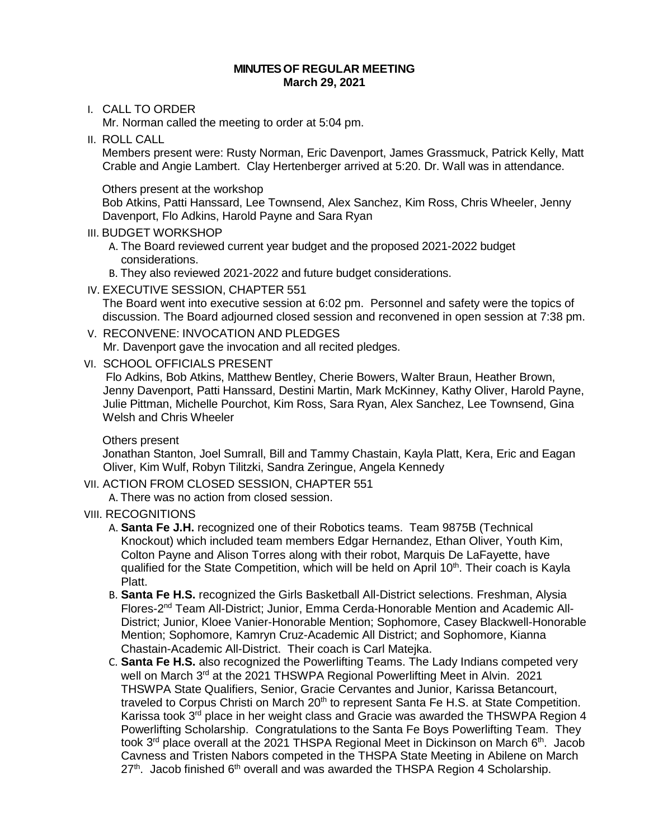#### **MINUTESOF REGULAR MEETING March 29, 2021**

## I. CALL TO ORDER

Mr. Norman called the meeting to order at 5:04 pm.

II. ROLL CALL

Members present were: Rusty Norman, Eric Davenport, James Grassmuck, Patrick Kelly, Matt Crable and Angie Lambert. Clay Hertenberger arrived at 5:20. Dr. Wall was in attendance.

Others present at the workshop

Bob Atkins, Patti Hanssard, Lee Townsend, Alex Sanchez, Kim Ross, Chris Wheeler, Jenny Davenport, Flo Adkins, Harold Payne and Sara Ryan

## III. BUDGET WORKSHOP

- A. The Board reviewed current year budget and the proposed 2021-2022 budget considerations.
- B. They also reviewed 2021-2022 and future budget considerations.
- IV. EXECUTIVE SESSION, CHAPTER 551

The Board went into executive session at 6:02 pm. Personnel and safety were the topics of discussion. The Board adjourned closed session and reconvened in open session at 7:38 pm.

V. RECONVENE: INVOCATION AND PLEDGES

Mr. Davenport gave the invocation and all recited pledges.

VI. SCHOOL OFFICIALS PRESENT

 Flo Adkins, Bob Atkins, Matthew Bentley, Cherie Bowers, Walter Braun, Heather Brown, Jenny Davenport, Patti Hanssard, Destini Martin, Mark McKinney, Kathy Oliver, Harold Payne, Julie Pittman, Michelle Pourchot, Kim Ross, Sara Ryan, Alex Sanchez, Lee Townsend, Gina Welsh and Chris Wheeler

### Others present

 Jonathan Stanton, Joel Sumrall, Bill and Tammy Chastain, Kayla Platt, Kera, Eric and Eagan Oliver, Kim Wulf, Robyn Tilitzki, Sandra Zeringue, Angela Kennedy

VII. ACTION FROM CLOSED SESSION, CHAPTER 551

A. There was no action from closed session.

- VIII. RECOGNITIONS
	- A. **Santa Fe J.H.** recognized one of their Robotics teams. Team 9875B (Technical Knockout) which included team members Edgar Hernandez, Ethan Oliver, Youth Kim, Colton Payne and Alison Torres along with their robot, Marquis De LaFayette, have qualified for the State Competition, which will be held on April  $10<sup>th</sup>$ . Their coach is Kayla Platt.
	- B. **Santa Fe H.S.** recognized the Girls Basketball All-District selections. Freshman, Alysia Flores-2nd Team All-District; Junior, Emma Cerda-Honorable Mention and Academic All-District; Junior, Kloee Vanier-Honorable Mention; Sophomore, Casey Blackwell-Honorable Mention; Sophomore, Kamryn Cruz-Academic All District; and Sophomore, Kianna Chastain-Academic All-District. Their coach is Carl Matejka.
	- C. **Santa Fe H.S.** also recognized the Powerlifting Teams. The Lady Indians competed very well on March 3<sup>rd</sup> at the 2021 THSWPA Regional Powerlifting Meet in Alvin. 2021 THSWPA State Qualifiers, Senior, Gracie Cervantes and Junior, Karissa Betancourt, traveled to Corpus Christi on March 20<sup>th</sup> to represent Santa Fe H.S. at State Competition. Karissa took  $3<sup>rd</sup>$  place in her weight class and Gracie was awarded the THSWPA Region 4 Powerlifting Scholarship. Congratulations to the Santa Fe Boys Powerlifting Team. They took  $3<sup>rd</sup>$  place overall at the 2021 THSPA Regional Meet in Dickinson on March  $6<sup>th</sup>$ . Jacob Cavness and Tristen Nabors competed in the THSPA State Meeting in Abilene on March  $27<sup>th</sup>$ . Jacob finished 6<sup>th</sup> overall and was awarded the THSPA Region 4 Scholarship.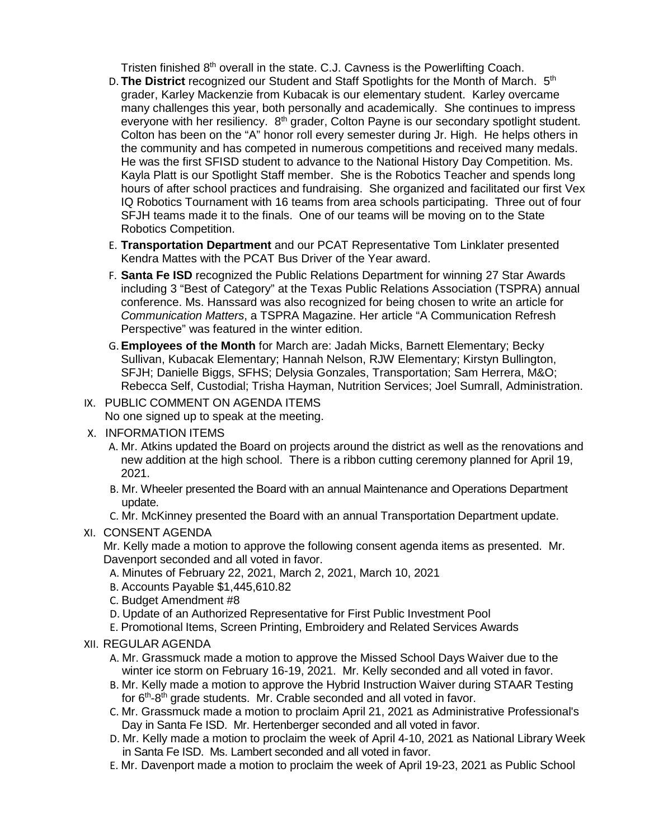Tristen finished 8<sup>th</sup> overall in the state. C.J. Cavness is the Powerlifting Coach.

- D. **The District** recognized our Student and Staff Spotlights for the Month of March. 5<sup>th</sup> grader, Karley Mackenzie from Kubacak is our elementary student. Karley overcame many challenges this year, both personally and academically. She continues to impress everyone with her resiliency.  $8<sup>th</sup>$  grader, Colton Payne is our secondary spotlight student. Colton has been on the "A" honor roll every semester during Jr. High. He helps others in the community and has competed in numerous competitions and received many medals. He was the first SFISD student to advance to the National History Day Competition. Ms. Kayla Platt is our Spotlight Staff member. She is the Robotics Teacher and spends long hours of after school practices and fundraising. She organized and facilitated our first Vex IQ Robotics Tournament with 16 teams from area schools participating. Three out of four SFJH teams made it to the finals. One of our teams will be moving on to the State Robotics Competition.
- E. **Transportation Department** and our PCAT Representative Tom Linklater presented Kendra Mattes with the PCAT Bus Driver of the Year award.
- F. **Santa Fe ISD** recognized the Public Relations Department for winning 27 Star Awards including 3 "Best of Category" at the Texas Public Relations Association (TSPRA) annual conference. Ms. Hanssard was also recognized for being chosen to write an article for *Communication Matters*, a TSPRA Magazine. Her article "A Communication Refresh Perspective" was featured in the winter edition.
- G. **Employees of the Month** for March are: Jadah Micks, Barnett Elementary; Becky Sullivan, Kubacak Elementary; Hannah Nelson, RJW Elementary; Kirstyn Bullington, SFJH; Danielle Biggs, SFHS; Delysia Gonzales, Transportation; Sam Herrera, M&O; Rebecca Self, Custodial; Trisha Hayman, Nutrition Services; Joel Sumrall, Administration.
- IX. PUBLIC COMMENT ON AGENDA ITEMS
	- No one signed up to speak at the meeting.
- X. INFORMATION ITEMS
	- A. Mr. Atkins updated the Board on projects around the district as well as the renovations and new addition at the high school. There is a ribbon cutting ceremony planned for April 19, 2021.
	- B. Mr. Wheeler presented the Board with an annual Maintenance and Operations Department update.
	- C. Mr. McKinney presented the Board with an annual Transportation Department update.

# XI. CONSENT AGENDA

Mr. Kelly made a motion to approve the following consent agenda items as presented. Mr. Davenport seconded and all voted in favor.

- A. Minutes of February 22, 2021, March 2, 2021, March 10, 2021
- B. Accounts Payable \$1,445,610.82
- C. Budget Amendment #8
- D. Update of an Authorized Representative for First Public Investment Pool
- E. Promotional Items, Screen Printing, Embroidery and Related Services Awards
- XII. REGULAR AGENDA
	- A. Mr. Grassmuck made a motion to approve the Missed School Days Waiver due to the winter ice storm on February 16-19, 2021. Mr. Kelly seconded and all voted in favor.
	- B. Mr. Kelly made a motion to approve the Hybrid Instruction Waiver during STAAR Testing for 6<sup>th</sup>-8<sup>th</sup> grade students. Mr. Crable seconded and all voted in favor.
	- C. Mr. Grassmuck made a motion to proclaim April 21, 2021 as Administrative Professional's Day in Santa Fe ISD. Mr. Hertenberger seconded and all voted in favor.
	- D. Mr. Kelly made a motion to proclaim the week of April 4-10, 2021 as National Library Week in Santa Fe ISD. Ms. Lambert seconded and all voted in favor.
	- E. Mr. Davenport made a motion to proclaim the week of April 19-23, 2021 as Public School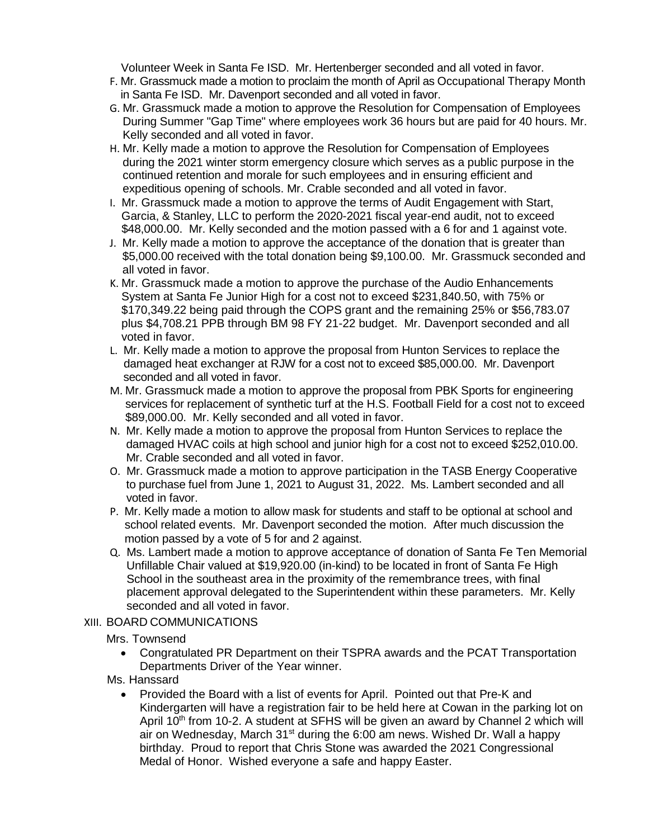Volunteer Week in Santa Fe ISD. Mr. Hertenberger seconded and all voted in favor.

- F. Mr. Grassmuck made a motion to proclaim the month of April as Occupational Therapy Month in Santa Fe ISD. Mr. Davenport seconded and all voted in favor.
- G. Mr. Grassmuck made a motion to approve the Resolution for Compensation of Employees During Summer "Gap Time" where employees work 36 hours but are paid for 40 hours. Mr. Kelly seconded and all voted in favor.
- H. Mr. Kelly made a motion to approve the Resolution for Compensation of Employees during the 2021 winter storm emergency closure which serves as a public purpose in the continued retention and morale for such employees and in ensuring efficient and expeditious opening of schools. Mr. Crable seconded and all voted in favor.
- I. Mr. Grassmuck made a motion to approve the terms of Audit Engagement with Start, Garcia, & Stanley, LLC to perform the 2020-2021 fiscal year-end audit, not to exceed \$48,000.00. Mr. Kelly seconded and the motion passed with a 6 for and 1 against vote.
- J. Mr. Kelly made a motion to approve the acceptance of the donation that is greater than \$5,000.00 received with the total donation being \$9,100.00. Mr. Grassmuck seconded and all voted in favor.
- K. Mr. Grassmuck made a motion to approve the purchase of the Audio Enhancements System at Santa Fe Junior High for a cost not to exceed \$231,840.50, with 75% or \$170,349.22 being paid through the COPS grant and the remaining 25% or \$56,783.07 plus \$4,708.21 PPB through BM 98 FY 21-22 budget. Mr. Davenport seconded and all voted in favor.
- L. Mr. Kelly made a motion to approve the proposal from Hunton Services to replace the damaged heat exchanger at RJW for a cost not to exceed \$85,000.00. Mr. Davenport seconded and all voted in favor.
- M. Mr. Grassmuck made a motion to approve the proposal from PBK Sports for engineering services for replacement of synthetic turf at the H.S. Football Field for a cost not to exceed \$89,000.00. Mr. Kelly seconded and all voted in favor.
- N. Mr. Kelly made a motion to approve the proposal from Hunton Services to replace the damaged HVAC coils at high school and junior high for a cost not to exceed \$252,010.00. Mr. Crable seconded and all voted in favor.
- O. Mr. Grassmuck made a motion to approve participation in the TASB Energy Cooperative to purchase fuel from June 1, 2021 to August 31, 2022. Ms. Lambert seconded and all voted in favor.
- P. Mr. Kelly made a motion to allow mask for students and staff to be optional at school and school related events. Mr. Davenport seconded the motion. After much discussion the motion passed by a vote of 5 for and 2 against.
- Q. Ms. Lambert made a motion to approve acceptance of donation of Santa Fe Ten Memorial Unfillable Chair valued at \$19,920.00 (in-kind) to be located in front of Santa Fe High School in the southeast area in the proximity of the remembrance trees, with final placement approval delegated to the Superintendent within these parameters. Mr. Kelly seconded and all voted in favor.

# XIII. BOARD COMMUNICATIONS

Mrs. Townsend

- Congratulated PR Department on their TSPRA awards and the PCAT Transportation Departments Driver of the Year winner.
- Ms. Hanssard
	- Provided the Board with a list of events for April. Pointed out that Pre-K and Kindergarten will have a registration fair to be held here at Cowan in the parking lot on April 10<sup>th</sup> from 10-2. A student at SFHS will be given an award by Channel 2 which will air on Wednesday, March 31<sup>st</sup> during the 6:00 am news. Wished Dr. Wall a happy birthday. Proud to report that Chris Stone was awarded the 2021 Congressional Medal of Honor. Wished everyone a safe and happy Easter.